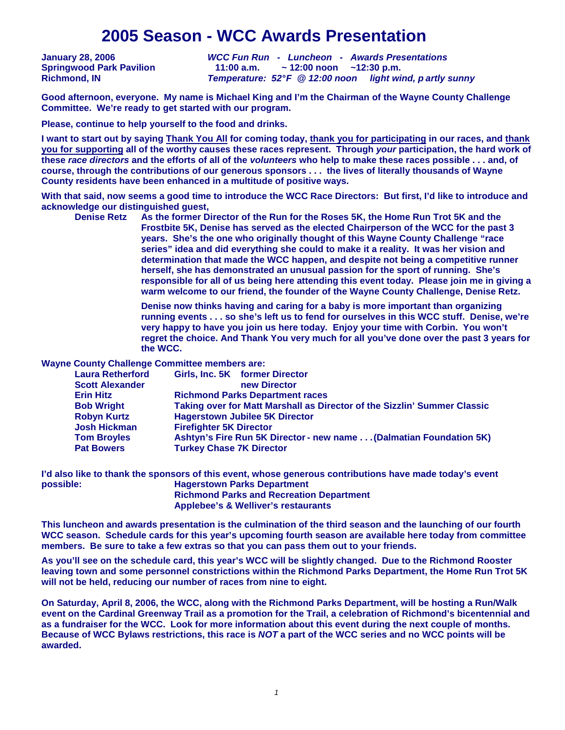# **2005 Season - WCC Awards Presentation**

**January 28, 2006 WCC Fun Run - Luncheon - Awards Presentations Springwood Park Pavilion 11:00 a.m. ~ 12:00 noon ~12:30 p.m. Richmond, IN Temperature: 52° F @ 12:00 noon light wind, partly sunny**

**Good afternoon, everyone. My name is Michael King and I'm the Chairman of the Wayne County Challenge Committee. We're ready to get started with our program.** 

**Please, continue to help yourself to the food and drinks.** 

**I want to start out by saying Thank You All for coming today, thank you for participating in our races, and thank you for supporting all of the worthy causes these races represent. Through your participation, the hard work of these race directors and the efforts of all of the volunteers who help to make these races possible . . . and, of course, through the contributions of our generous sponsors . . . the lives of literally thousands of Wayne County residents have been enhanced in a multitude of positive ways.** 

**With that said, now seems a good time to introduce the WCC Race Directors: But first, I'd like to introduce and acknowledge our distinguished guest,** 

 **Denise Retz As the former Director of the Run for the Roses 5K, the Home Run Trot 5K and the Frostbite 5K, Denise has served as the elected Chairperson of the WCC for the past 3 years. She's the one who originally thought of this Wayne County Challenge "race series" idea and did everything she could to make it a reality. It was her vision and determination that made the WCC happen, and despite not being a competitive runner herself, she has demonstrated an unusual passion for the sport of running. She's responsible for all of us being here attending this event today. Please join me in giving a warm welcome to our friend, the founder of the Wayne County Challenge, Denise Retz.** 

> **Denise now thinks having and caring for a baby is more important than organizing running events . . . so she's left us to fend for ourselves in this WCC stuff. Denise, we're very happy to have you join us here today. Enjoy your time with Corbin. You won't regret the choice. And Thank You very much for all you've done over the past 3 years for the WCC.**

**Wayne County Challenge Committee members are:** 

| <b>Laura Retherford</b> | Girls, Inc. 5K former Director                                           |  |  |
|-------------------------|--------------------------------------------------------------------------|--|--|
| <b>Scott Alexander</b>  | new Director                                                             |  |  |
| <b>Erin Hitz</b>        | <b>Richmond Parks Department races</b>                                   |  |  |
| <b>Bob Wright</b>       | Taking over for Matt Marshall as Director of the Sizzlin' Summer Classic |  |  |
| <b>Robyn Kurtz</b>      | <b>Hagerstown Jubilee 5K Director</b>                                    |  |  |
| <b>Josh Hickman</b>     | <b>Firefighter 5K Director</b>                                           |  |  |
| <b>Tom Broyles</b>      | Ashtyn's Fire Run 5K Director - new name (Dalmatian Foundation 5K)       |  |  |
| <b>Pat Bowers</b>       | <b>Turkey Chase 7K Director</b>                                          |  |  |
|                         |                                                                          |  |  |

**I'd also like to thank the sponsors of this event, whose generous contributions have made today's event possible: Hagerstown Parks Department Richmond Parks and Recreation Department Applebee's & Welliver's restaurants** 

**This luncheon and awards presentation is the culmination of the third season and the launching of our fourth WCC season. Schedule cards for this year's upcoming fourth season are available here today from committee members. Be sure to take a few extras so that you can pass them out to your friends.** 

**As you'll see on the schedule card, this year's WCC will be slightly changed. Due to the Richmond Rooster leaving town and some personnel constrictions within the Richmond Parks Department, the Home Run Trot 5K will not be held, reducing our number of races from nine to eight.** 

**On Saturday, April 8, 2006, the WCC, along with the Richmond Parks Department, will be hosting a Run/Walk event on the Cardinal Greenway Trail as a promotion for the Trail, a celebration of Richmond's bicentennial and as a fundraiser for the WCC. Look for more information about this event during the next couple of months. Because of WCC Bylaws restrictions, this race is NOT a part of the WCC series and no WCC points will be awarded.**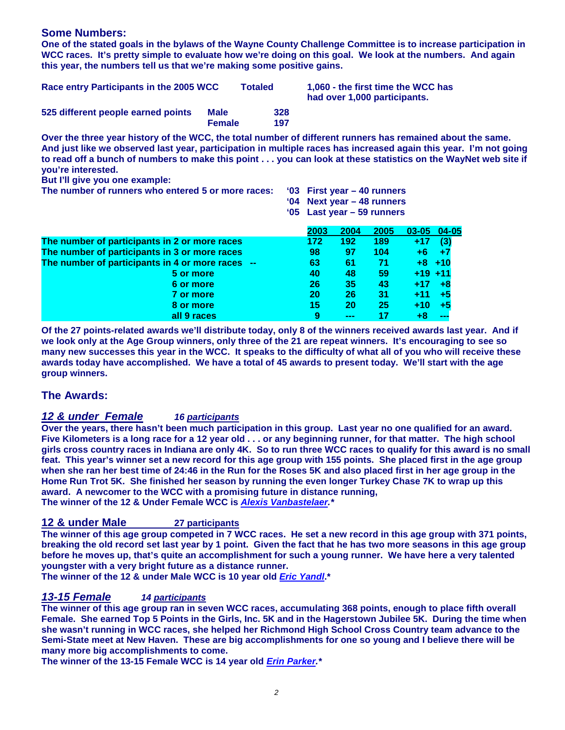### **Some Numbers:**

**One of the stated goals in the bylaws of the Wayne County Challenge Committee is to increase participation in WCC races. It's pretty simple to evaluate how we're doing on this goal. We look at the numbers. And again this year, the numbers tell us that we're making some positive gains.** 

| Race entry Participants in the 2005 WCC |                              | <b>Totaled</b> | 1,060 - the first time the WCC has<br>had over 1,000 participants. |
|-----------------------------------------|------------------------------|----------------|--------------------------------------------------------------------|
| 525 different people earned points      | <b>Male</b><br><b>Female</b> | 328<br>197     |                                                                    |

**Over the three year history of the WCC, the total number of different runners has remained about the same. And just like we observed last year, participation in multiple races has increased again this year. I'm not going to read off a bunch of numbers to make this point . . . you can look at these statistics on the WayNet web site if you're interested.** 

**But I'll give you one example:** 

**The number of runners who entered 5 or more races: '03 First year – 40 runners** 

 **'04 Next year – 48 runners** 

 **'05 Last year – 59 runners** 

|                                                  | 2003 | 2004 | 2005 | $03 - 05$ | $04 - 05$ |
|--------------------------------------------------|------|------|------|-----------|-----------|
| The number of participants in 2 or more races    | 172  | 192  | 189  | $+17$     | (3)       |
| The number of participants in 3 or more races    | 98   | 97   | 104  | +6        |           |
| The number of participants in 4 or more races -- | 63   | 61   | 71   |           | $+8$ +10  |
| 5 or more                                        | 40   | 48   | 59   | $+19$ +11 |           |
| 6 or more                                        | 26   | 35   | 43   | $+17$     |           |
| 7 or more                                        | 20   | 26   | 31   | +11       |           |
| 8 or more                                        | 15   | 20   | 25   | $+10$     |           |
| all 9 races                                      | 9    | ---  |      | +8        |           |

**Of the 27 points-related awards we'll distribute today, only 8 of the winners received awards last year. And if we look only at the Age Group winners, only three of the 21 are repeat winners. It's encouraging to see so many new successes this year in the WCC. It speaks to the difficulty of what all of you who will receive these awards today have accomplished. We have a total of 45 awards to present today. We'll start with the age group winners.** 

### **The Awards:**

### **12 & under Female 16 participants**

**Over the years, there hasn't been much participation in this group. Last year no one qualified for an award. Five Kilometers is a long race for a 12 year old . . . or any beginning runner, for that matter. The high school girls cross country races in Indiana are only 4K. So to run three WCC races to qualify for this award is no small feat. This year's winner set a new record for this age group with 155 points. She placed first in the age group when she ran her best time of 24:46 in the Run for the Roses 5K and also placed first in her age group in the Home Run Trot 5K. She finished her season by running the even longer Turkey Chase 7K to wrap up this award. A newcomer to the WCC with a promising future in distance running, The winner of the 12 & Under Female WCC is Alexis Vanbastelaer.\*** 

# **12 & under Male 27 participants**

**The winner of this age group competed in 7 WCC races. He set a new record in this age group with 371 points, breaking the old record set last year by 1 point. Given the fact that he has two more seasons in this age group before he moves up, that's quite an accomplishment for such a young runner. We have here a very talented youngster with a very bright future as a distance runner.** 

**The winner of the 12 & under Male WCC is 10 year old Eric Yandl.\*** 

# **13-15 Female 14 participants**

**The winner of this age group ran in seven WCC races, accumulating 368 points, enough to place fifth overall Female. She earned Top 5 Points in the Girls, Inc. 5K and in the Hagerstown Jubilee 5K. During the time when she wasn't running in WCC races, she helped her Richmond High School Cross Country team advance to the Semi-State meet at New Haven. These are big accomplishments for one so young and I believe there will be many more big accomplishments to come.** 

**The winner of the 13-15 Female WCC is 14 year old Erin Parker.\***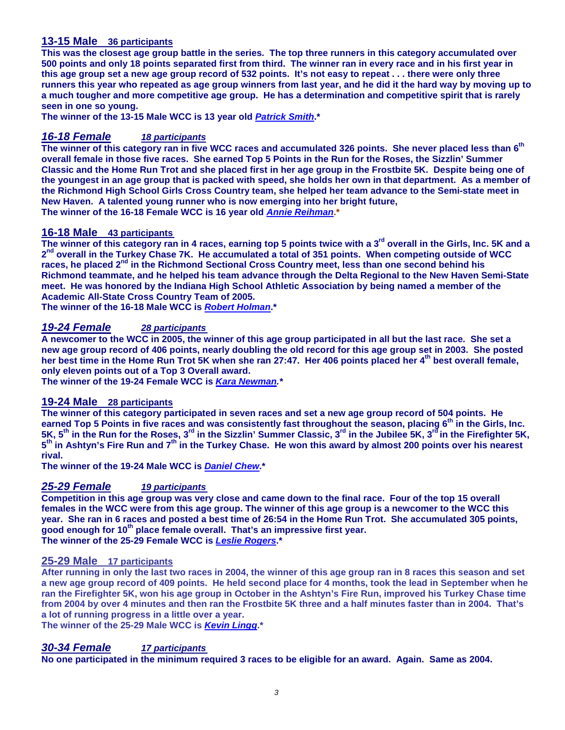### **13-15 Male 36 participants**

**This was the closest age group battle in the series. The top three runners in this category accumulated over 500 points and only 18 points separated first from third. The winner ran in every race and in his first year in this age group set a new age group record of 532 points. It's not easy to repeat . . . there were only three runners this year who repeated as age group winners from last year, and he did it the hard way by moving up to a much tougher and more competitive age group. He has a determination and competitive spirit that is rarely seen in one so young.** 

**The winner of the 13-15 Male WCC is 13 year old Patrick Smith.\*** 

### **16-18 Female 18 participants**

**The winner of this category ran in five WCC races and accumulated 326 points. She never placed less than 6th overall female in those five races. She earned Top 5 Points in the Run for the Roses, the Sizzlin' Summer Classic and the Home Run Trot and she placed first in her age group in the Frostbite 5K. Despite being one of the youngest in an age group that is packed with speed, she holds her own in that department. As a member of the Richmond High School Girls Cross Country team, she helped her team advance to the Semi-state meet in New Haven. A talented young runner who is now emerging into her bright future, The winner of the 16-18 Female WCC is 16 year old Annie Reihman.\*** 

#### **16-18 Male 43 participants**

**The winner of this category ran in 4 races, earning top 5 points twice with a 3rd overall in the Girls, Inc. 5K and a**  2<sup>nd</sup> overall in the Turkey Chase 7K. He accumulated a total of 351 points. When competing outside of WCC **races, he placed 2nd in the Richmond Sectional Cross Country meet, less than one second behind his Richmond teammate, and he helped his team advance through the Delta Regional to the New Haven Semi-State meet. He was honored by the Indiana High School Athletic Association by being named a member of the Academic All-State Cross Country Team of 2005.** 

**The winner of the 16-18 Male WCC is Robert Holman.\*** 

### **19-24 Female 28 participants**

**A newcomer to the WCC in 2005, the winner of this age group participated in all but the last race. She set a new age group record of 406 points, nearly doubling the old record for this age group set in 2003. She posted her best time in the Home Run Trot 5K when she ran 27:47. Her 406 points placed her 4th best overall female, only eleven points out of a Top 3 Overall award.** 

**The winner of the 19-24 Female WCC is Kara Newman.\*** 

### **19-24 Male 28 participants**

**The winner of this category participated in seven races and set a new age group record of 504 points. He earned Top 5 Points in five races and was consistently fast throughout the season, placing 6th in the Girls, Inc. 5K, 5th in the Run for the Roses, 3rd in the Sizzlin' Summer Classic, 3rd in the Jubilee 5K, 3rd in the Firefighter 5K, 5 th in Ashtyn's Fire Run and 7th in the Turkey Chase. He won this award by almost 200 points over his nearest rival.** 

**The winner of the 19-24 Male WCC is Daniel Chew.\*** 

### **25-29 Female 19 participants**

**Competition in this age group was very close and came down to the final race. Four of the top 15 overall females in the WCC were from this age group. The winner of this age group is a newcomer to the WCC this year. She ran in 6 races and posted a best time of 26:54 in the Home Run Trot. She accumulated 305 points, good enough for 10th place female overall. That's an impressive first year. The winner of the 25-29 Female WCC is Leslie Rogers.\*** 

#### **25-29 Male 17 participants**

**After running in only the last two races in 2004, the winner of this age group ran in 8 races this season and set a new age group record of 409 points. He held second place for 4 months, took the lead in September when he ran the Firefighter 5K, won his age group in October in the Ashtyn's Fire Run, improved his Turkey Chase time from 2004 by over 4 minutes and then ran the Frostbite 5K three and a half minutes faster than in 2004. That's a lot of running progress in a little over a year.** 

**The winner of the 25-29 Male WCC is Kevin Lingg.\*** 

# **30-34 Female 17 participants**

**No one participated in the minimum required 3 races to be eligible for an award. Again. Same as 2004.**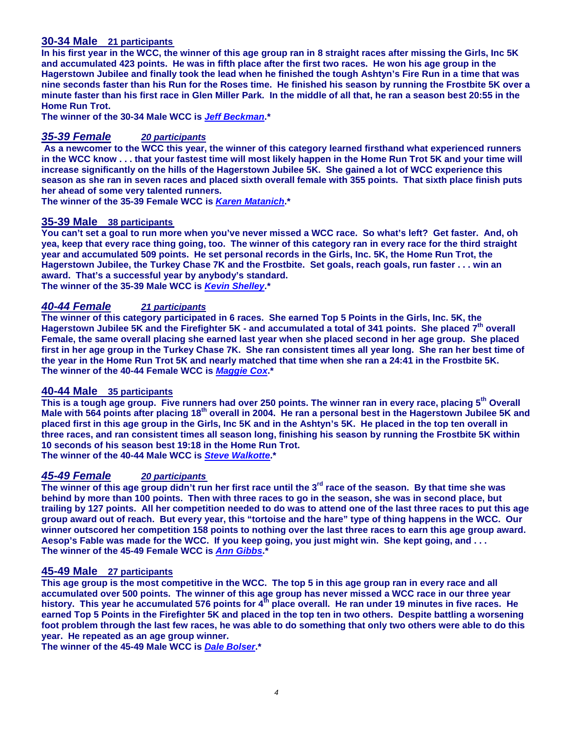### **30-34 Male 21 participants**

**In his first year in the WCC, the winner of this age group ran in 8 straight races after missing the Girls, Inc 5K and accumulated 423 points. He was in fifth place after the first two races. He won his age group in the Hagerstown Jubilee and finally took the lead when he finished the tough Ashtyn's Fire Run in a time that was nine seconds faster than his Run for the Roses time. He finished his season by running the Frostbite 5K over a minute faster than his first race in Glen Miller Park. In the middle of all that, he ran a season best 20:55 in the Home Run Trot.** 

**The winner of the 30-34 Male WCC is Jeff Beckman.\*** 

### **35-39 Female 20 participants**

 **As a newcomer to the WCC this year, the winner of this category learned firsthand what experienced runners in the WCC know . . . that your fastest time will most likely happen in the Home Run Trot 5K and your time will increase significantly on the hills of the Hagerstown Jubilee 5K. She gained a lot of WCC experience this season as she ran in seven races and placed sixth overall female with 355 points. That sixth place finish puts her ahead of some very talented runners.** 

**The winner of the 35-39 Female WCC is Karen Matanich.\*** 

#### **35-39 Male 38 participants**

**You can't set a goal to run more when you've never missed a WCC race. So what's left? Get faster. And, oh yea, keep that every race thing going, too. The winner of this category ran in every race for the third straight year and accumulated 509 points. He set personal records in the Girls, Inc. 5K, the Home Run Trot, the Hagerstown Jubilee, the Turkey Chase 7K and the Frostbite. Set goals, reach goals, run faster . . . win an award. That's a successful year by anybody's standard. The winner of the 35-39 Male WCC is Kevin Shelley.\*** 

### **40-44 Female 21 participants**

**The winner of this category participated in 6 races. She earned Top 5 Points in the Girls, Inc. 5K, the Hagerstown Jubilee 5K and the Firefighter 5K - and accumulated a total of 341 points. She placed 7th overall Female, the same overall placing she earned last year when she placed second in her age group. She placed first in her age group in the Turkey Chase 7K. She ran consistent times all year long. She ran her best time of the year in the Home Run Trot 5K and nearly matched that time when she ran a 24:41 in the Frostbite 5K. The winner of the 40-44 Female WCC is Maggie Cox.\*** 

### **40-44 Male 35 participants**

**This is a tough age group. Five runners had over 250 points. The winner ran in every race, placing 5th Overall Male with 564 points after placing 18th overall in 2004. He ran a personal best in the Hagerstown Jubilee 5K and placed first in this age group in the Girls, Inc 5K and in the Ashtyn's 5K. He placed in the top ten overall in three races, and ran consistent times all season long, finishing his season by running the Frostbite 5K within 10 seconds of his season best 19:18 in the Home Run Trot.** 

**The winner of the 40-44 Male WCC is Steve Walkotte.\*** 

# **45-49 Female 20 participants**

**The winner of this age group didn't run her first race until the 3rd race of the season. By that time she was behind by more than 100 points. Then with three races to go in the season, she was in second place, but trailing by 127 points. All her competition needed to do was to attend one of the last three races to put this age group award out of reach. But every year, this "tortoise and the hare" type of thing happens in the WCC. Our winner outscored her competition 158 points to nothing over the last three races to earn this age group award. Aesop's Fable was made for the WCC. If you keep going, you just might win. She kept going, and . . . The winner of the 45-49 Female WCC is Ann Gibbs.\***

#### **45-49 Male 27 participants**

**This age group is the most competitive in the WCC. The top 5 in this age group ran in every race and all accumulated over 500 points. The winner of this age group has never missed a WCC race in our three year history. This year he accumulated 576 points for 4th place overall. He ran under 19 minutes in five races. He earned Top 5 Points in the Firefighter 5K and placed in the top ten in two others. Despite battling a worsening foot problem through the last few races, he was able to do something that only two others were able to do this year. He repeated as an age group winner.** 

**The winner of the 45-49 Male WCC is Dale Bolser.\***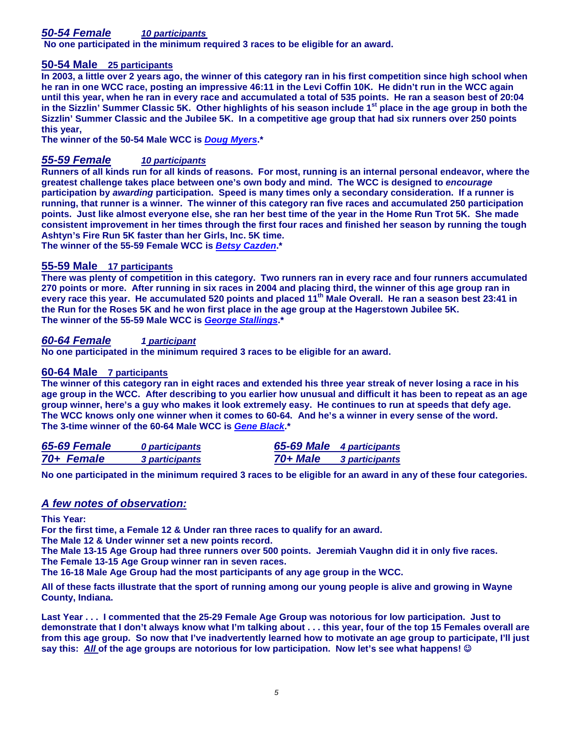# **50-54 Female 10 participants**

 **No one participated in the minimum required 3 races to be eligible for an award.**

### **50-54 Male 25 participants**

**In 2003, a little over 2 years ago, the winner of this category ran in his first competition since high school when he ran in one WCC race, posting an impressive 46:11 in the Levi Coffin 10K. He didn't run in the WCC again until this year, when he ran in every race and accumulated a total of 535 points. He ran a season best of 20:04 in the Sizzlin' Summer Classic 5K. Other highlights of his season include 1st place in the age group in both the Sizzlin' Summer Classic and the Jubilee 5K. In a competitive age group that had six runners over 250 points this year,** 

**The winner of the 50-54 Male WCC is Doug Myers.\*** 

### **55-59 Female 10 participants**

**Runners of all kinds run for all kinds of reasons. For most, running is an internal personal endeavor, where the greatest challenge takes place between one's own body and mind. The WCC is designed to encourage participation by awarding participation. Speed is many times only a secondary consideration. If a runner is running, that runner is a winner. The winner of this category ran five races and accumulated 250 participation points. Just like almost everyone else, she ran her best time of the year in the Home Run Trot 5K. She made consistent improvement in her times through the first four races and finished her season by running the tough Ashtyn's Fire Run 5K faster than her Girls, Inc. 5K time.** 

**The winner of the 55-59 Female WCC is Betsy Cazden.\***

### **55-59 Male 17 participants**

**There was plenty of competition in this category. Two runners ran in every race and four runners accumulated 270 points or more. After running in six races in 2004 and placing third, the winner of this age group ran in every race this year. He accumulated 520 points and placed 11th Male Overall. He ran a season best 23:41 in the Run for the Roses 5K and he won first place in the age group at the Hagerstown Jubilee 5K. The winner of the 55-59 Male WCC is George Stallings.\*** 

### **60-64 Female 1 participant**

**No one participated in the minimum required 3 races to be eligible for an award.** 

#### **60-64 Male 7 participants**

**The winner of this category ran in eight races and extended his three year streak of never losing a race in his age group in the WCC. After describing to you earlier how unusual and difficult it has been to repeat as an age group winner, here's a guy who makes it look extremely easy. He continues to run at speeds that defy age. The WCC knows only one winner when it comes to 60-64. And he's a winner in every sense of the word. The 3-time winner of the 60-64 Male WCC is Gene Black.\*** 

| 65-69 Female | 0 participants |          | 65-69 Male 4 participants |
|--------------|----------------|----------|---------------------------|
| 70+ Female   | 3 participants | 70+ Male | <b>3 participants</b>     |

**No one participated in the minimum required 3 races to be eligible for an award in any of these four categories.** 

### **A few notes of observation:**

**This Year:** 

**For the first time, a Female 12 & Under ran three races to qualify for an award.** 

**The Male 12 & Under winner set a new points record.** 

**The Male 13-15 Age Group had three runners over 500 points. Jeremiah Vaughn did it in only five races.** 

**The Female 13-15 Age Group winner ran in seven races.** 

**The 16-18 Male Age Group had the most participants of any age group in the WCC.** 

**All of these facts illustrate that the sport of running among our young people is alive and growing in Wayne County, Indiana.** 

**Last Year . . . I commented that the 25-29 Female Age Group was notorious for low participation. Just to demonstrate that I don't always know what I'm talking about . . . this year, four of the top 15 Females overall are from this age group. So now that I've inadvertently learned how to motivate an age group to participate, I'll just say this: All of the age groups are notorious for low participation. Now let's see what happens!** ☺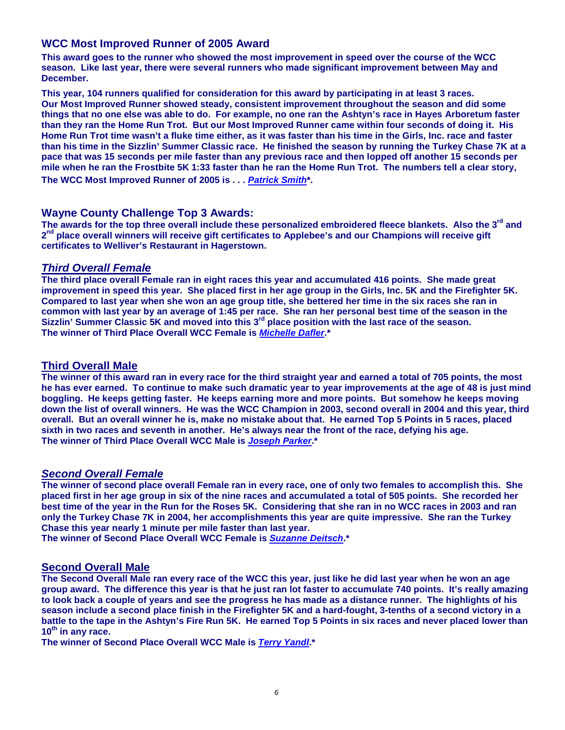# **WCC Most Improved Runner of 2005 Award**

**This award goes to the runner who showed the most improvement in speed over the course of the WCC season. Like last year, there were several runners who made significant improvement between May and December.** 

**This year, 104 runners qualified for consideration for this award by participating in at least 3 races. Our Most Improved Runner showed steady, consistent improvement throughout the season and did some things that no one else was able to do. For example, no one ran the Ashtyn's race in Hayes Arboretum faster than they ran the Home Run Trot. But our Most Improved Runner came within four seconds of doing it. His Home Run Trot time wasn't a fluke time either, as it was faster than his time in the Girls, Inc. race and faster than his time in the Sizzlin' Summer Classic race. He finished the season by running the Turkey Chase 7K at a pace that was 15 seconds per mile faster than any previous race and then lopped off another 15 seconds per mile when he ran the Frostbite 5K 1:33 faster than he ran the Home Run Trot. The numbers tell a clear story, The WCC Most Improved Runner of 2005 is . . . Patrick Smith\*.** 

### **Wayne County Challenge Top 3 Awards:**

**The awards for the top three overall include these personalized embroidered fleece blankets. Also the 3rd and**  2<sup>nd</sup> place overall winners will receive gift certificates to Applebee's and our Champions will receive gift **certificates to Welliver's Restaurant in Hagerstown.** 

### **Third Overall Female**

**The third place overall Female ran in eight races this year and accumulated 416 points. She made great improvement in speed this year. She placed first in her age group in the Girls, Inc. 5K and the Firefighter 5K. Compared to last year when she won an age group title, she bettered her time in the six races she ran in common with last year by an average of 1:45 per race. She ran her personal best time of the season in the Sizzlin' Summer Classic 5K and moved into this 3rd place position with the last race of the season. The winner of Third Place Overall WCC Female is Michelle Dafler.\*** 

### **Third Overall Male**

**The winner of this award ran in every race for the third straight year and earned a total of 705 points, the most he has ever earned. To continue to make such dramatic year to year improvements at the age of 48 is just mind boggling. He keeps getting faster. He keeps earning more and more points. But somehow he keeps moving down the list of overall winners. He was the WCC Champion in 2003, second overall in 2004 and this year, third overall. But an overall winner he is, make no mistake about that. He earned Top 5 Points in 5 races, placed sixth in two races and seventh in another. He's always near the front of the race, defying his age. The winner of Third Place Overall WCC Male is Joseph Parker.\*** 

### **Second Overall Female**

**The winner of second place overall Female ran in every race, one of only two females to accomplish this. She placed first in her age group in six of the nine races and accumulated a total of 505 points. She recorded her best time of the year in the Run for the Roses 5K. Considering that she ran in no WCC races in 2003 and ran only the Turkey Chase 7K in 2004, her accomplishments this year are quite impressive. She ran the Turkey Chase this year nearly 1 minute per mile faster than last year.** 

**The winner of Second Place Overall WCC Female is Suzanne Deitsch.\*** 

# **Second Overall Male**

**The Second Overall Male ran every race of the WCC this year, just like he did last year when he won an age group award. The difference this year is that he just ran lot faster to accumulate 740 points. It's really amazing to look back a couple of years and see the progress he has made as a distance runner. The highlights of his season include a second place finish in the Firefighter 5K and a hard-fought, 3-tenths of a second victory in a battle to the tape in the Ashtyn's Fire Run 5K. He earned Top 5 Points in six races and never placed lower than 10th in any race.** 

**The winner of Second Place Overall WCC Male is Terry Yandl.\***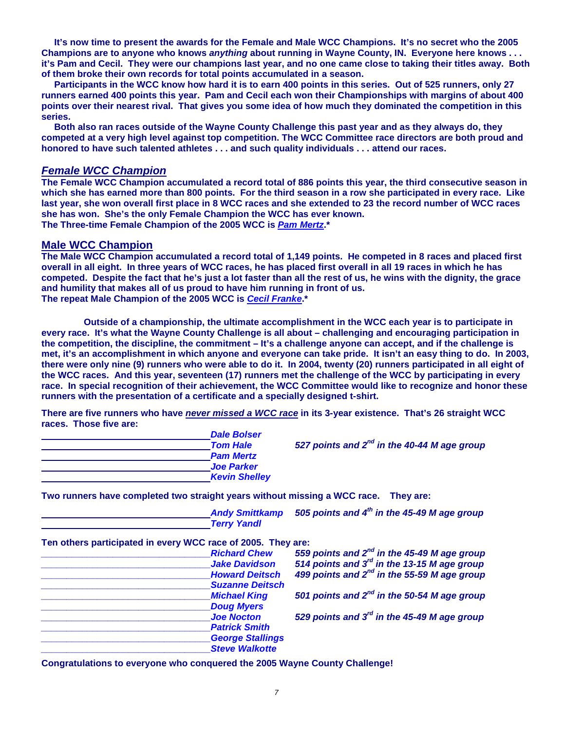**It's now time to present the awards for the Female and Male WCC Champions. It's no secret who the 2005 Champions are to anyone who knows anything about running in Wayne County, IN. Everyone here knows . . . it's Pam and Cecil. They were our champions last year, and no one came close to taking their titles away. Both of them broke their own records for total points accumulated in a season.** 

 **Participants in the WCC know how hard it is to earn 400 points in this series. Out of 525 runners, only 27 runners earned 400 points this year. Pam and Cecil each won their Championships with margins of about 400 points over their nearest rival. That gives you some idea of how much they dominated the competition in this series.** 

 **Both also ran races outside of the Wayne County Challenge this past year and as they always do, they competed at a very high level against top competition. The WCC Committee race directors are both proud and honored to have such talented athletes . . . and such quality individuals . . . attend our races.** 

#### **Female WCC Champion**

**The Female WCC Champion accumulated a record total of 886 points this year, the third consecutive season in which she has earned more than 800 points. For the third season in a row she participated in every race. Like last year, she won overall first place in 8 WCC races and she extended to 23 the record number of WCC races she has won. She's the only Female Champion the WCC has ever known.** 

**The Three-time Female Champion of the 2005 WCC is Pam Mertz.\*** 

#### **Male WCC Champion**

**The Male WCC Champion accumulated a record total of 1,149 points. He competed in 8 races and placed first overall in all eight. In three years of WCC races, he has placed first overall in all 19 races in which he has competed. Despite the fact that he's just a lot faster than all the rest of us, he wins with the dignity, the grace and humility that makes all of us proud to have him running in front of us. The repeat Male Champion of the 2005 WCC is Cecil Franke.\*** 

 **Outside of a championship, the ultimate accomplishment in the WCC each year is to participate in every race. It's what the Wayne County Challenge is all about – challenging and encouraging participation in the competition, the discipline, the commitment – It's a challenge anyone can accept, and if the challenge is met, it's an accomplishment in which anyone and everyone can take pride. It isn't an easy thing to do. In 2003, there were only nine (9) runners who were able to do it. In 2004, twenty (20) runners participated in all eight of the WCC races. And this year, seventeen (17) runners met the challenge of the WCC by participating in every race. In special recognition of their achievement, the WCC Committee would like to recognize and honor these runners with the presentation of a certificate and a specially designed t-shirt.** 

**There are five runners who have never missed a WCC race in its 3-year existence. That's 26 straight WCC races. Those five are:** 

| <b>Dale Bolser</b>   |
|----------------------|
| <b>Tom Hale</b>      |
| <b>Pam Mertz</b>     |
| <b>Joe Parker</b>    |
| <b>Kevin Shelley</b> |

**527 points and 2<sup>nd</sup> in the 40-44 M age group** 

**Two runners have completed two straight years without missing a WCC race. They are:** 

 **Andy Smittkamp 505 points and 4th in the 45-49 M age group Terry Yandl** 

**Ten others participated in every WCC race of 2005. They are:** 

| <b>Richard Chew</b><br><b>Jake Davidson</b><br><b>Howard Deitsch</b> | 559 points and $2^{nd}$ in the 45-49 M age group<br>514 points and $3^{rd}$ in the 13-15 M age group<br>499 points and $2^{nd}$ in the 55-59 M age group |
|----------------------------------------------------------------------|----------------------------------------------------------------------------------------------------------------------------------------------------------|
| <b>Suzanne Deitsch</b>                                               |                                                                                                                                                          |
| <b>Michael King</b>                                                  | 501 points and $2^{nd}$ in the 50-54 M age group                                                                                                         |
| <b>Doug Myers</b>                                                    |                                                                                                                                                          |
| <b>Joe Nocton</b>                                                    | 529 points and $3^{rd}$ in the 45-49 M age group                                                                                                         |
| <b>Patrick Smith</b>                                                 |                                                                                                                                                          |
| <b>George Stallings</b>                                              |                                                                                                                                                          |
| <b>Steve Walkotte</b>                                                |                                                                                                                                                          |

**Congratulations to everyone who conquered the 2005 Wayne County Challenge!**